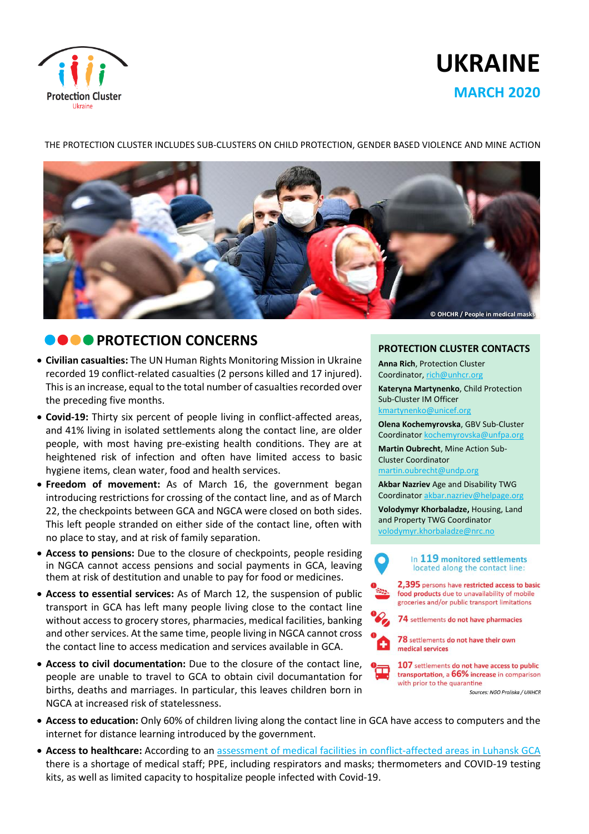

# **UKRAINE MARCH 2020**

THE PROTECTION CLUSTER INCLUDES SUB-CLUSTERS ON CHILD PROTECTION, GENDER BASED VIOLENCE AND MINE ACTION



# **DOOPROTECTION CONCERNS**

- **Civilian casualties:** The UN Human Rights Monitoring Mission in Ukraine recorded 19 conflict-related casualties (2 persons killed and 17 injured). This is an increase, equal to the total number of casualties recorded over the preceding five months.
- **Covid-19:** Thirty six percent of people living in conflict-affected areas, and 41% living in isolated settlements along the contact line, are older people, with most having pre-existing health conditions. They are at heightened risk of infection and often have limited access to basic hygiene items, clean water, food and health services.
- **Freedom of movement:** As of March 16, the government began introducing restrictions for crossing of the contact line, and as of March 22, the checkpoints between GCA and NGCA were closed on both sides. This left people stranded on either side of the contact line, often with no place to stay, and at risk of family separation.
- **Access to pensions:** Due to the closure of checkpoints, people residing in NGCA cannot access pensions and social payments in GCA, leaving them at risk of destitution and unable to pay for food or medicines.
- **Access to essential services:** As of March 12, the suspension of public transport in GCA has left many people living close to the contact line without access to grocery stores, pharmacies, medical facilities, banking and other services. At the same time, people living in NGCA cannot cross the contact line to access medication and services available in GCA.
- **Access to civil documentation:** Due to the closure of the contact line, people are unable to travel to GCA to obtain civil documantation for births, deaths and marriages. In particular, this leaves children born in NGCA at increased risk of statelessness.

#### **PROTECTION CLUSTER CONTACTS**

**Anna Rich**, Protection Cluster Coordinator, [rich@unhcr.org](mailto:rich@unhcr.org)

**Kateryna Martynenko**, Child Protection Sub-Cluster IM Officer

kmartynenko@unicef.org

**Olena Kochemyrovska**, GBV Sub-Cluster Coordinator [kochemyrovska@unfpa.org](mailto:kristesashvili@unfpa.org)

**Martin Oubrecht**, Mine Action Sub-Cluster Coordinator

[martin.oubrecht@undp.org](mailto:martin.oubrecht@undp.org)

 $\bullet$ 

÷

**Akbar Nazriev** Age and Disability TWG Coordinator akbar.nazriev@helpage.org

**Volodymyr Khorbaladze,** Housing, Land and Property TWG Coordinator [volodymyr.khorbaladze@nrc.no](mailto:volodymyr.khorbaladze@nrc.no)

> In 119 monitored settlements located along the contact line:

2.395 persons have restricted access to basic food products due to unavailability of mobile groceries and/or public transport limitations

74 settlements do not have pharmacies

78 settlements do not have their own medical services

107 settlements do not have access to public transportation, a 66% increase in comparison with prior to the quarantine

Sources: NGO Proliska / UNHCR

- **Access to education:** Only 60% of children living along the contact line in GCA have access to computers and the internet for distance learning introduced by the government.
- **Access to healthcare:** According to an assessment of medical facilities in [conflict-affected](https://www.humanitarianresponse.info/en/operations/ukraine/document/vostok-sos-%E2%80%9Ccritical-stable-state-preparation-healthcare-facilities) areas in Luhansk GCA there is a shortage of medical staff; PPE, including respirators and masks; thermometers and COVID-19 testing kits, as well as limited capacity to hospitalize people infected with Covid-19.